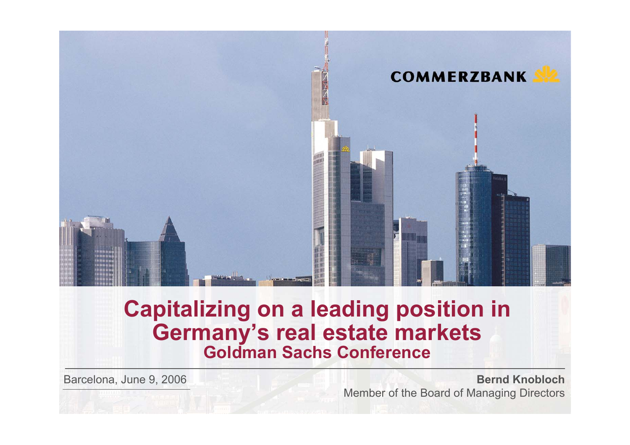

# **Capitalizing on a leading position in Germany's real estate markets Goldman Sachs Conference**

Barcelona, June 9, 2006

### **Bernd Knobloch**Member of the Board of Managing Directors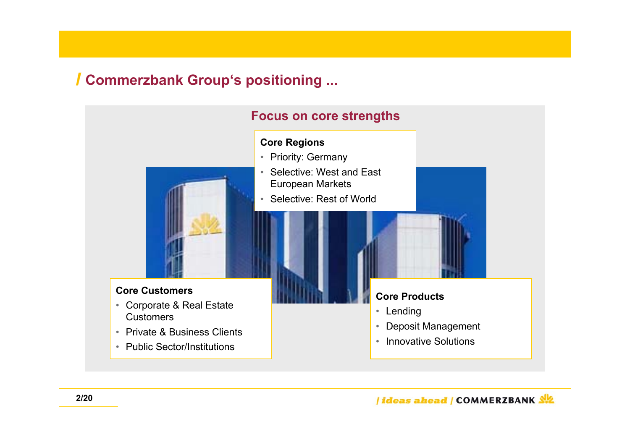# **Commerzbank Group's positioning ...**

### **Focus on core strengths**

#### **Core Regions**

- Priority: Germany
- Selective: West and East European Markets
- Selective: Rest of World

#### **Core Customers**

- • Corporate & Real Estate **Customers**
- Private & Business Clients
- Public Sector/Institutions

#### **Core Products**

- Lending
- •Deposit Management
- •Innovative Solutions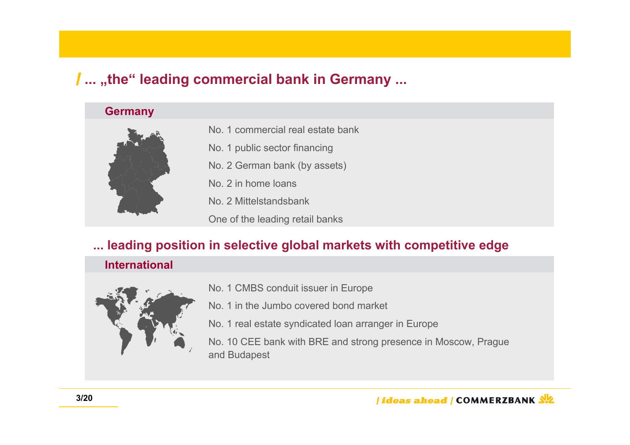# **... "the" leading commercial bank in Germany ...**

#### **Germany**



- No. 1 commercial real estate bank
- No. 1 public sector financing
- No. 2 German bank (by assets)
- No. 2 in home loans
- No. 2 Mittelstandsbank
- One of the leading retail banks

### **... leading position in selective global markets with competitive edge**

### **International**



- No. 1 CMBS conduit issuer in Europe
- No. 1 in the Jumbo covered bond market
- No. 1 real estate syndicated loan arranger in Europe

No. 10 CEE bank with BRE and strong presence in Moscow, Prague and Budapest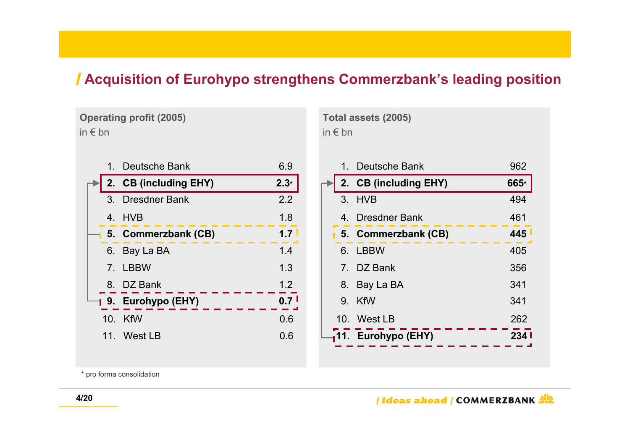## **Acquisition of Eurohypo strengthens Commerzbank's leading position**

**Operating profit (2005)** in € bn

|                 | 1. Deutsche Bank             | 6.9    |
|-----------------|------------------------------|--------|
|                 | 2. CB (including EHY)        | $2.3*$ |
|                 | 3. Dresdner Bank             | 2.2    |
|                 | 4. HVB                       | 1.8    |
|                 | <b>1 5. Commerzbank (CB)</b> |        |
| 6.              | Bay La BA                    | 1.4    |
|                 | 7. LBBW                      | 1.3    |
|                 | 8. DZ Bank                   | 1.2    |
|                 | 19. Eurohypo (EHY)           | 0.7    |
| 10 <sub>1</sub> | KfW                          | 0.6    |
|                 | 11. West LB                  | 0.6    |
|                 |                              |        |

**Total assets (2005)** in € bn

|  | 1. Deutsche Bank             | 962  |
|--|------------------------------|------|
|  | 2. CB (including EHY)        | 665* |
|  | 3. HVB                       | 494  |
|  | 4. Dresdner Bank             | 461  |
|  | <b>1 5. Commerzbank (CB)</b> | 445  |
|  | 6. LBBW                      | 405  |
|  | 7. DZ Bank                   | 356  |
|  | 8. Bay La BA                 | 341  |
|  | 9. KfW                       | 341  |
|  | 10. West LB                  | 262  |
|  | 11. Eurohypo (EHY)           | 234  |
|  |                              |      |

\* pro forma consolidation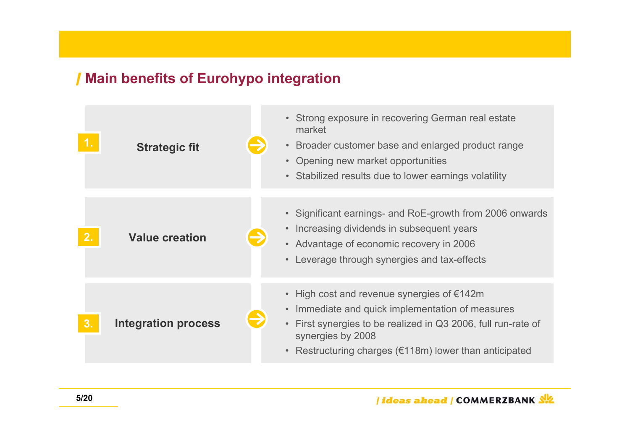## **Main benefits of Eurohypo integration**

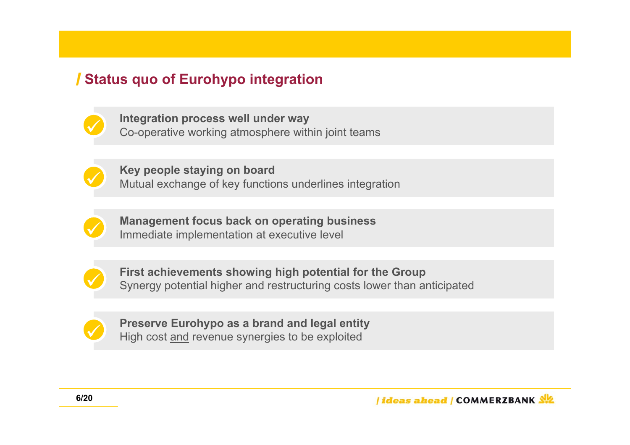# **Status quo of Eurohypo integration**



**Integration process well under way** Co-operative working atmosphere within joint teams



**Key people staying on board** Mutual exchange of key functions underlines integration



**Management focus back on operating business** Immediate implementation at executive level



**First achievements showing high potential for the Group** Synergy potential higher and restructuring costs lower than anticipated



**Preserve Eurohypo as a brand and legal entity** High cost and revenue synergies to be exploited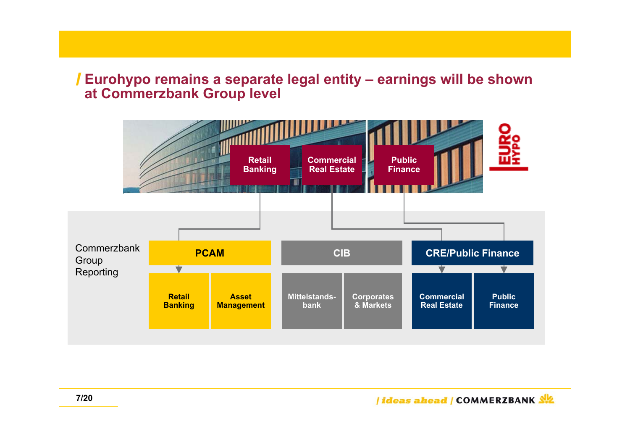## **Eurohypo remains a separate legal entity – earnings will be shown at Commerzbank Group level**

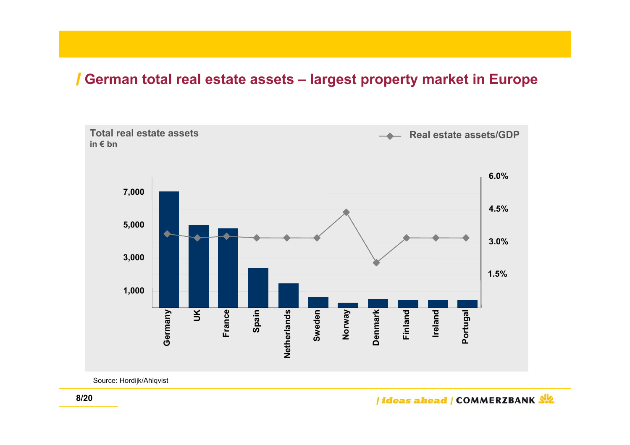## **German total real estate assets – largest property market in Europe**



Source: Hordijk/Ahlqvist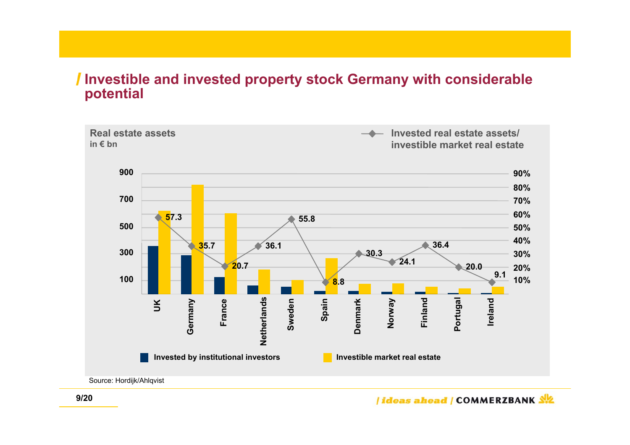## **Investible and invested property stock Germany with considerable potential**



Source: Hordijk/Ahlqvist

*<u>Ideas ahead | COMMERZBANK SIZ</u>*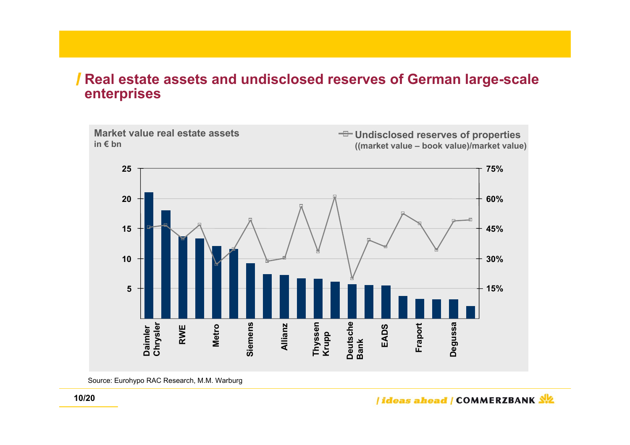#### **Real estate assets and undisclosed reserves of German large-scale** ı **enterprises**



Source: Eurohypo RAC Research, M.M. Warburg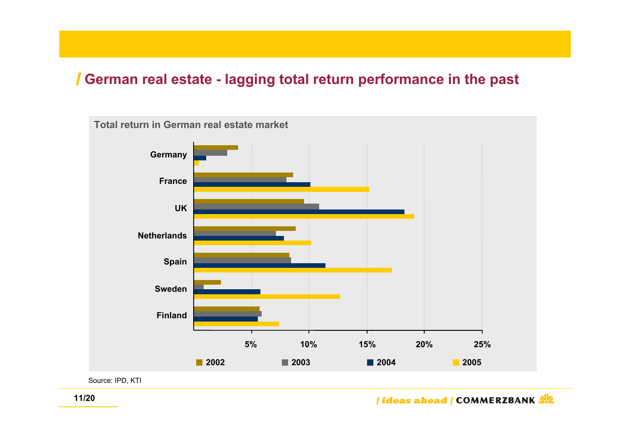## **German real estate - lagging total return performance in the past**



Source: IPD, KTI

/ideas ahead / COMMERZBANK 外名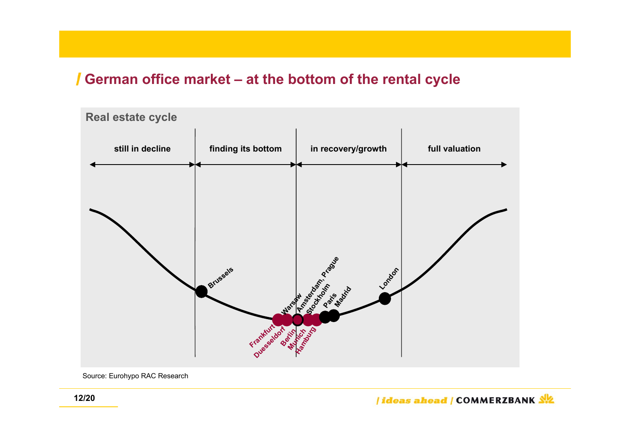## **German office market – at the bottom of the rental cycle**



Source: Eurohypo RAC Research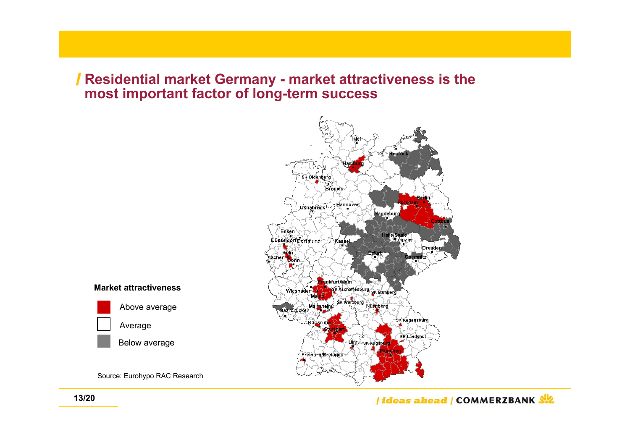## **Residential market Germany - market attractiveness is the most important factor of long-term success**



#### **Market attractiveness**



Source: Eurohypo RAC Research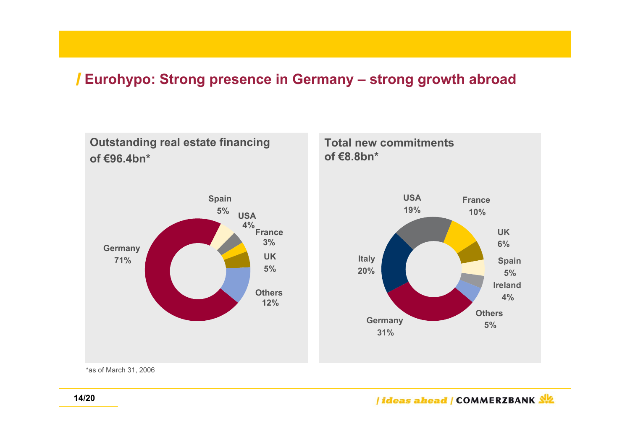# **Eurohypo: Strong presence in Germany – strong growth abroad**



\*as of March 31, 2006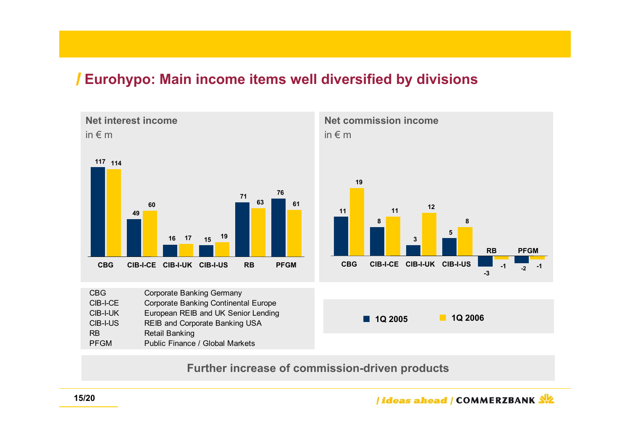## **Eurohypo: Main income items well diversified by divisions**

**Net interest income**in  $\notin$  m **76114117 6017 <sup>19</sup> 63 6171154916 CBG CIB-I-CE CIB-I-UK CIB-I-US RBPFGM**

CBG Corporate Banking Germany CIB-I-CE Corporate Banking Continental Europe CIB-I-UK European REIB and UK Senior Lending CIB-I-US REIB and Corporate Banking USA RB Retail Banking PFGM Public Finance / Global Markets

**Further increase of commission-driven products**

**Net commission income**in € m



**1Q 2005 1Q 2006**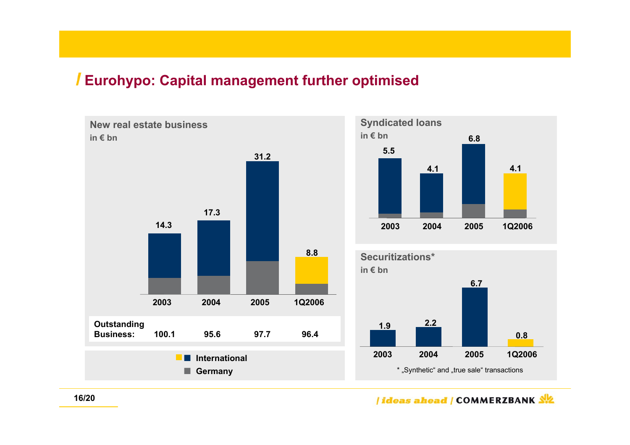# **Eurohypo: Capital management further optimised**

**New real estate businessin € bnOutstanding Business: 100.1 95.6 97.7 96.42003 2004 2005 1Q2006 14.317.331.28.8 International Germany**



*<u>Ideas ahead | COMMERZBANK SIZ</u>*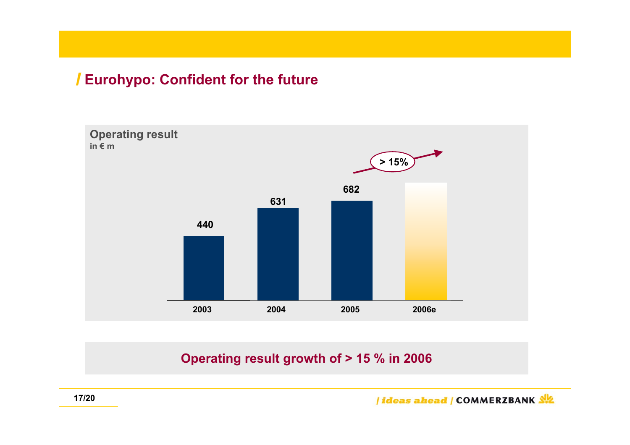# **Eurohypo: Confident for the future**



### **Operating result growth of > 15 % in 2006**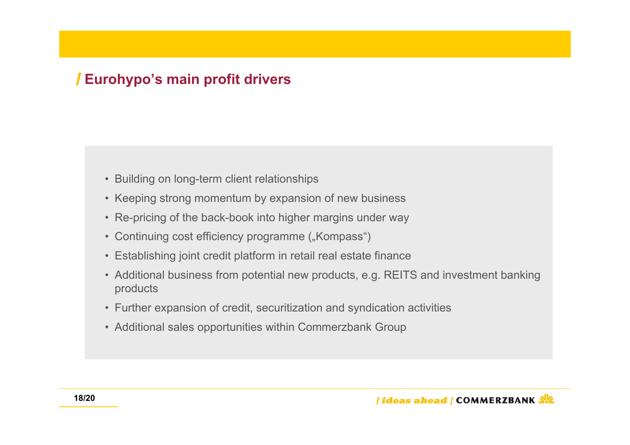# **Eurohypo's main profit drivers**

- Building on long-term client relationships
- Keeping strong momentum by expansion of new business
- Re-pricing of the back-book into higher margins under way
- Continuing cost efficiency programme ("Kompass")
- Establishing joint credit platform in retail real estate finance
- Additional business from potential new products, e.g. REITS and investment banking products
- Further expansion of credit, securitization and syndication activities
- Additional sales opportunities within Commerzbank Group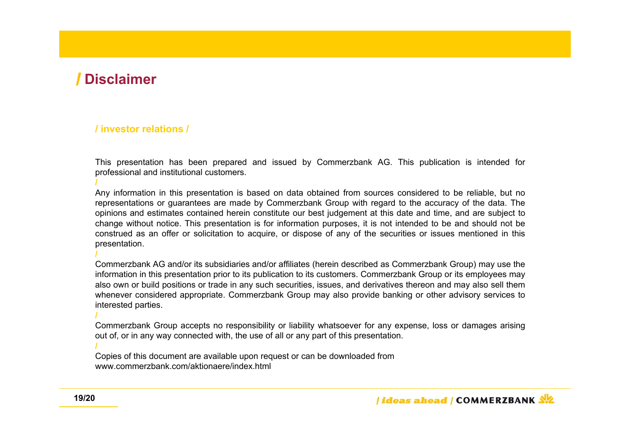## **Disclaimer**

**/**

**/**

**/**

**/**

#### **/ investor relations /**

This presentation has been prepared and issued by Commerzbank AG. This publication is intended for professional and institutional customers.

Any information in this presentation is based on data obtained from sources considered to be reliable, but no representations or guarantees are made by Commerzbank Group with regard to the accuracy of the data. The opinions and estimates contained herein constitute our best judgement at this date and time, and are subject to change without notice. This presentation is for information purposes, it is not intended to be and should not be construed as an offer or solicitation to acquire, or dispose of any of the securities or issues mentioned in this presentation.

Commerzbank AG and/or its subsidiaries and/or affiliates (herein described as Commerzbank Group) may use the information in this presentation prior to its publication to its customers. Commerzbank Group or its employees may also own or build positions or trade in any such securities, issues, and derivatives thereon and may also sell them whenever considered appropriate. Commerzbank Group may also provide banking or other advisory services to interested parties.

Commerzbank Group accepts no responsibility or liability whatsoever for any expense, loss or damages arising out of, or in any way connected with, the use of all or any part of this presentation.

Copies of this document are available upon request or can be downloaded from www.commerzbank.com/aktionaere/index.html